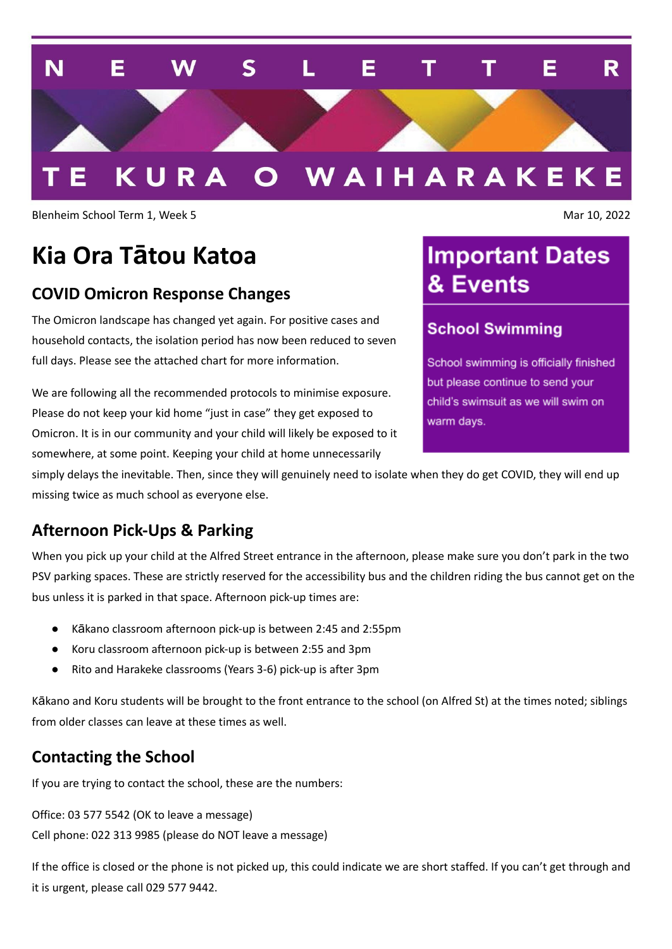

Blenheim School Term 1, Week 5 Mar 10, 2022

# **Kia Ora Tātou Katoa**

#### **COVID Omicron Response Changes**

The Omicron landscape has changed yet again. For positive cases and household contacts, the isolation period has now been reduced to seven full days. Please see the attached chart for more information.

We are following all the recommended protocols to minimise exposure. Please do not keep your kid home "just in case" they get exposed to Omicron. It is in our community and your child will likely be exposed to it somewhere, at some point. Keeping your child at home unnecessarily

## **Important Dates** & Events

#### **School Swimming**

School swimming is officially finished but please continue to send your child's swimsuit as we will swim on warm days.

simply delays the inevitable. Then, since they will genuinely need to isolate when they do get COVID, they will end up missing twice as much school as everyone else.

#### **Afternoon Pick-Ups & Parking**

When you pick up your child at the Alfred Street entrance in the afternoon, please make sure you don't park in the two PSV parking spaces. These are strictly reserved for the accessibility bus and the children riding the bus cannot get on the bus unless it is parked in that space. Afternoon pick-up times are:

- Kākano classroom afternoon pick-up is between 2:45 and 2:55pm
- Koru classroom afternoon pick-up is between 2:55 and 3pm
- Rito and Harakeke classrooms (Years 3-6) pick-up is after 3pm

Kākano and Koru students will be brought to the front entrance to the school (on Alfred St) at the times noted; siblings from older classes can leave at these times as well.

#### **Contacting the School**

If you are trying to contact the school, these are the numbers:

Office: 03 577 5542 (OK to leave a message) Cell phone: 022 313 9985 (please do NOT leave a message)

If the office is closed or the phone is not picked up, this could indicate we are short staffed. If you can't get through and it is urgent, please call 029 577 9442.